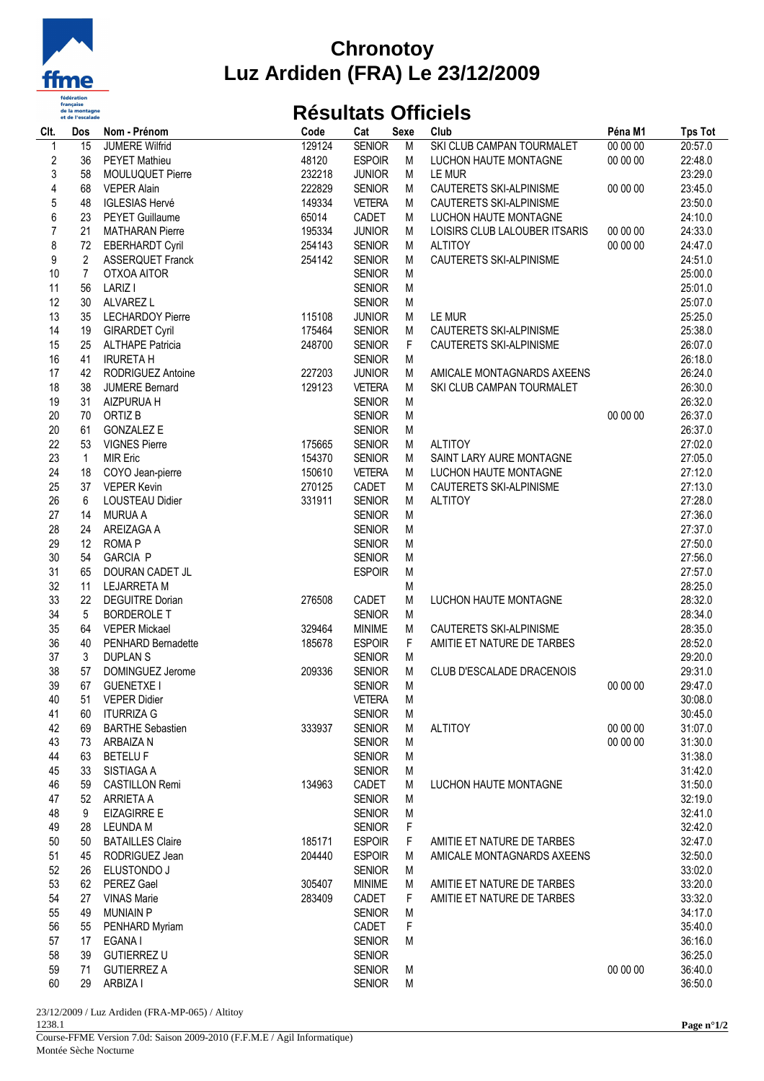

## **Chronotoy Luz Ardiden (FRA) Le 23/12/2009**

## **Résultats Officiels**

| Clt.                    | Dos            | Nom - Prénom            | Code   | Cat           | <b>Sexe</b> | Club                          | Péna M1  | <b>Tps Tot</b> |
|-------------------------|----------------|-------------------------|--------|---------------|-------------|-------------------------------|----------|----------------|
| $\mathbf{1}$            | 15             | <b>JUMERE Wilfrid</b>   | 129124 | <b>SENIOR</b> | M           | SKI CLUB CAMPAN TOURMALET     | 00 00 00 | 20:57.0        |
| $\sqrt{2}$              | 36             | <b>PEYET Mathieu</b>    | 48120  | <b>ESPOIR</b> | M           | LUCHON HAUTE MONTAGNE         | 00 00 00 | 22:48.0        |
| 3                       | 58             | MOULUQUET Pierre        | 232218 | <b>JUNIOR</b> | М           | LE MUR                        |          | 23:29.0        |
| $\overline{\mathbf{4}}$ | 68             | <b>VEPER Alain</b>      | 222829 | <b>SENIOR</b> | M           | CAUTERETS SKI-ALPINISME       | 00 00 00 | 23:45.0        |
| 5                       | 48             | <b>IGLESIAS Hervé</b>   | 149334 | <b>VETERA</b> | M           | CAUTERETS SKI-ALPINISME       |          | 23:50.0        |
| 6                       | 23             | <b>PEYET Guillaume</b>  | 65014  | CADET         | M           | LUCHON HAUTE MONTAGNE         |          | 24:10.0        |
| $\overline{7}$          | 21             | <b>MATHARAN Pierre</b>  | 195334 | <b>JUNIOR</b> | M           | LOISIRS CLUB LALOUBER ITSARIS | 00 00 00 | 24:33.0        |
| 8                       | 72             | <b>EBERHARDT Cyril</b>  | 254143 | <b>SENIOR</b> | М           | <b>ALTITOY</b>                | 00 00 00 | 24:47.0        |
| 9                       | $\overline{2}$ | <b>ASSERQUET Franck</b> | 254142 | <b>SENIOR</b> | M           | CAUTERETS SKI-ALPINISME       |          | 24:51.0        |
|                         |                |                         |        |               |             |                               |          |                |
| 10                      | $\overline{7}$ | OTXOA AITOR             |        | <b>SENIOR</b> | M           |                               |          | 25:00.0        |
| 11                      | 56             | LARIZ I                 |        | <b>SENIOR</b> | M           |                               |          | 25:01.0        |
| 12                      | 30             | ALVAREZ L               |        | <b>SENIOR</b> | M           |                               |          | 25:07.0        |
| 13                      | 35             | <b>LECHARDOY Pierre</b> | 115108 | <b>JUNIOR</b> | M           | LE MUR                        |          | 25:25.0        |
| 14                      | 19             | <b>GIRARDET Cyril</b>   | 175464 | <b>SENIOR</b> | М           | CAUTERETS SKI-ALPINISME       |          | 25:38.0        |
| 15                      | 25             | <b>ALTHAPE Patricia</b> | 248700 | <b>SENIOR</b> | F           | CAUTERETS SKI-ALPINISME       |          | 26:07.0        |
| 16                      | 41             | <b>IRURETA H</b>        |        | <b>SENIOR</b> | M           |                               |          | 26:18.0        |
| 17                      | 42             | RODRIGUEZ Antoine       | 227203 | <b>JUNIOR</b> | M           | AMICALE MONTAGNARDS AXEENS    |          | 26:24.0        |
| 18                      | 38             | <b>JUMERE Bernard</b>   | 129123 | <b>VETERA</b> | M           | SKI CLUB CAMPAN TOURMALET     |          | 26:30.0        |
| 19                      | 31             | AIZPURUA H              |        | <b>SENIOR</b> | M           |                               |          | 26:32.0        |
| 20                      | 70             | ORTIZ B                 |        | <b>SENIOR</b> | M           |                               | 00 00 00 | 26:37.0        |
| 20                      | 61             | <b>GONZALEZ E</b>       |        | <b>SENIOR</b> | M           |                               |          | 26:37.0        |
| 22                      | 53             | <b>VIGNES Pierre</b>    | 175665 | <b>SENIOR</b> | М           | <b>ALTITOY</b>                |          | 27:02.0        |
| 23                      | $\mathbf{1}$   | <b>MIR Eric</b>         | 154370 | <b>SENIOR</b> | М           | SAINT LARY AURE MONTAGNE      |          | 27:05.0        |
| 24                      | 18             |                         | 150610 | <b>VETERA</b> | М           | LUCHON HAUTE MONTAGNE         |          | 27:12.0        |
| 25                      | 37             | COYO Jean-pierre        | 270125 | CADET         | M           |                               |          |                |
|                         |                | <b>VEPER Kevin</b>      |        |               |             | CAUTERETS SKI-ALPINISME       |          | 27:13.0        |
| 26                      | 6              | <b>LOUSTEAU Didier</b>  | 331911 | <b>SENIOR</b> | M           | <b>ALTITOY</b>                |          | 27:28.0        |
| 27                      | 14             | <b>MURUA A</b>          |        | <b>SENIOR</b> | M           |                               |          | 27:36.0        |
| 28                      | 24             | AREIZAGA A              |        | <b>SENIOR</b> | M           |                               |          | 27:37.0        |
| 29                      | 12             | <b>ROMAP</b>            |        | <b>SENIOR</b> | M           |                               |          | 27:50.0        |
| 30                      | 54             | <b>GARCIA P</b>         |        | <b>SENIOR</b> | M           |                               |          | 27:56.0        |
| 31                      | 65             | DOURAN CADET JL         |        | <b>ESPOIR</b> | ${\sf M}$   |                               |          | 27:57.0        |
| 32                      | 11             | <b>LEJARRETA M</b>      |        |               | M           |                               |          | 28:25.0        |
| 33                      | 22             | <b>DEGUITRE Dorian</b>  | 276508 | CADET         | M           | LUCHON HAUTE MONTAGNE         |          | 28:32.0        |
| 34                      | 5              | <b>BORDEROLE T</b>      |        | <b>SENIOR</b> | M           |                               |          | 28:34.0        |
| 35                      | 64             | <b>VEPER Mickael</b>    | 329464 | <b>MINIME</b> | М           | CAUTERETS SKI-ALPINISME       |          | 28:35.0        |
| 36                      | 40             | PENHARD Bernadette      | 185678 | <b>ESPOIR</b> | F           | AMITIE ET NATURE DE TARBES    |          | 28:52.0        |
| 37                      | 3              | <b>DUPLANS</b>          |        | <b>SENIOR</b> | M           |                               |          | 29:20.0        |
| 38                      | 57             | DOMINGUEZ Jerome        | 209336 | <b>SENIOR</b> | M           | CLUB D'ESCALADE DRACENOIS     |          | 29:31.0        |
| 39                      | 67             | <b>GUENETXE I</b>       |        | <b>SENIOR</b> | M           |                               | 00 00 00 | 29:47.0        |
| 40                      | 51             | <b>VFPFR Didier</b>     |        | <b>VETERA</b> | M           |                               |          | 30:08.0        |
| 41                      | 60             | <b>ITURRIZA G</b>       |        | <b>SENIOR</b> | M           |                               |          | 30:45.0        |
| 42                      | 69             | <b>BARTHE Sebastien</b> | 333937 | <b>SENIOR</b> | M           | <b>ALTITOY</b>                | 00 00 00 | 31:07.0        |
| 43                      | 73             | ARBAIZA N               |        | <b>SENIOR</b> | M           |                               | 00 00 00 | 31:30.0        |
| 44                      | 63             | <b>BETELUF</b>          |        | <b>SENIOR</b> | M           |                               |          | 31:38.0        |
| 45                      |                |                         |        |               |             |                               |          |                |
|                         | 33             | SISTIAGA A              |        | <b>SENIOR</b> | M           |                               |          | 31:42.0        |
| 46                      | 59             | <b>CASTILLON Remi</b>   | 134963 | CADET         | M           | LUCHON HAUTE MONTAGNE         |          | 31:50.0        |
| 47                      | 52             | ARRIETA A               |        | <b>SENIOR</b> | M           |                               |          | 32:19.0        |
| 48                      | 9              | <b>EIZAGIRRE E</b>      |        | <b>SENIOR</b> | M           |                               |          | 32:41.0        |
| 49                      | 28             | LEUNDA M                |        | <b>SENIOR</b> | F           |                               |          | 32:42.0        |
| 50                      | 50             | <b>BATAILLES Claire</b> | 185171 | <b>ESPOIR</b> | F           | AMITIE ET NATURE DE TARBES    |          | 32:47.0        |
| 51                      | 45             | RODRIGUEZ Jean          | 204440 | <b>ESPOIR</b> | M           | AMICALE MONTAGNARDS AXEENS    |          | 32:50.0        |
| 52                      | 26             | ELUSTONDO J             |        | <b>SENIOR</b> | M           |                               |          | 33:02.0        |
| 53                      | 62             | <b>PEREZ Gael</b>       | 305407 | <b>MINIME</b> | M           | AMITIE ET NATURE DE TARBES    |          | 33:20.0        |
| 54                      | 27             | <b>VINAS Marie</b>      | 283409 | CADET         | F           | AMITIE ET NATURE DE TARBES    |          | 33:32.0        |
| 55                      | 49             | <b>MUNIAIN P</b>        |        | <b>SENIOR</b> | M           |                               |          | 34:17.0        |
| 56                      | 55             | PENHARD Myriam          |        | CADET         | F           |                               |          | 35:40.0        |
| 57                      | 17             | EGANA I                 |        | <b>SENIOR</b> | M           |                               |          | 36:16.0        |
| 58                      | 39             | <b>GUTIERREZ U</b>      |        | <b>SENIOR</b> |             |                               |          | 36:25.0        |
| 59                      | 71             | <b>GUTIERREZ A</b>      |        | <b>SENIOR</b> | M           |                               | 00 00 00 | 36:40.0        |
| 60                      | 29             | ARBIZA I                |        | <b>SENIOR</b> | M           |                               |          | 36:50.0        |
|                         |                |                         |        |               |             |                               |          |                |

23/12/2009 / Luz Ardiden (FRA-MP-065) / Altitoy 1238.1